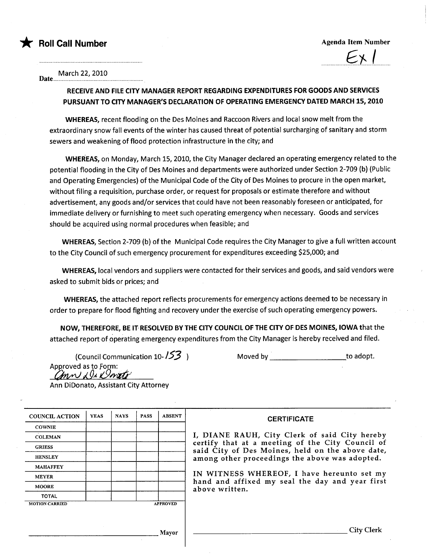

 $\overline{\phantom{a}}$ 

March 22, 2010

Date u uuo uo ou ou ouo oou oou oou uo ou 0 oou 0 UUU oou 0 ou ou

## RECEIVE AND FILE CITY MANAGER REPORT REGARDING EXPENDITURES FOR GOODS AND SERVICES PURSUANT TO CITY MANAGER'S DECLARATION OF OPERATING EMERGENCY DATED MARCH 15, 2010

WHEREAS, recent flooding on the Des Moines and Raccoon Rivers and local snow melt from the extraordinary snow fall events of the winter has caused threat of potential surcharging of sanitary and storm sewers and weakening of flood protection infrastructure in the city; and

WHEREAS, on Monday, March 15,2010, the City Manager declared an operating emergency related to the potential flooding in the City of Des Moines and departments were authorized under Section 2-709 (b) (Public and Operating Emergencies) of the Municipal Code of the City of Des Moines to procure in the open market, without filing a requisition, purchase order, or request for proposals or estimate therefore and without advertisement, any goods and/or services that could have not been reasonably foreseen or anticipated, for immediate delivery or furnishing to meet such operating emergency when necessary. Goods and services should be acquired using normal procedures when feasible; and

WHEREAS, Section 2-709 (b) of the Municipal Code requires the City Manager to give a full written account to the City Council of such emergency procurement for expenditures exceeding \$25,000; and

WHEREAS, local vendors and suppliers were contacted for their services and goods, and said vendors were asked to submit bids or prices; and

WHEREAS, the attached report reflects procurements for emergency actions deemed to be necessary in order to prepare for flood fighting and recovery under the exercise of such operating emergency powers.

NOW, THEREFORE, BE IT- RESOLVED BY THE CITY COUNCIL OF THE CITY OF DES MOINES, IOWA that the attached report of operating emergency expenditures from the City Manager is hereby received and filed.

(Council Communication 10-/53 Approved as to Form: ann Di Donte

Moved by \_\_\_\_\_\_\_\_\_\_\_\_\_\_\_\_\_\_\_\_\_\_\_\_\_to adopt.

Ann DiDonato, Assistant City Attorney

| <b>COUNCIL ACTION</b> | <b>YEAS</b> | <b>NAVS</b> | <b>PASS</b> | <b>ABSENT</b>   | <b>CERTIFICATE</b>                                                                                              |  |  |  |  |
|-----------------------|-------------|-------------|-------------|-----------------|-----------------------------------------------------------------------------------------------------------------|--|--|--|--|
| <b>COWNIE</b>         |             |             |             |                 |                                                                                                                 |  |  |  |  |
| <b>COLEMAN</b>        |             |             |             |                 | I, DIANE RAUH, City Clerk of said City hereby                                                                   |  |  |  |  |
| <b>GRIESS</b>         |             |             |             |                 | certify that at a meeting of the City Council of<br>said City of Des Moines, held on the above date,            |  |  |  |  |
| <b>HENSLEY</b>        |             |             |             |                 | among other proceedings the above was adopted.                                                                  |  |  |  |  |
| <b>MAHAFFEY</b>       |             |             |             |                 |                                                                                                                 |  |  |  |  |
| <b>MEYER</b>          |             |             |             |                 | IN WITNESS WHEREOF, I have hereunto set my<br>hand and affixed my seal the day and year first<br>above written. |  |  |  |  |
| <b>MOORE</b>          |             |             |             |                 |                                                                                                                 |  |  |  |  |
| <b>TOTAL</b>          |             |             |             |                 |                                                                                                                 |  |  |  |  |
| <b>MOTION CARRIED</b> |             |             |             | <b>APPROVED</b> |                                                                                                                 |  |  |  |  |
|                       |             |             |             |                 |                                                                                                                 |  |  |  |  |
|                       |             |             |             |                 |                                                                                                                 |  |  |  |  |
|                       |             |             |             | Mayor           | City Clerk                                                                                                      |  |  |  |  |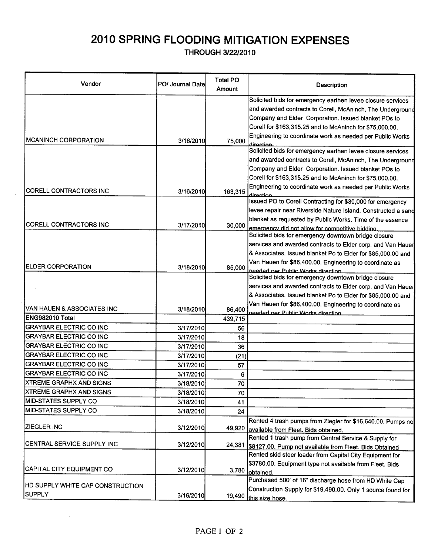## 2010 SPRING FLOODING MITIGATION EXPENSES

THROUGH 3/22/2010

| Vendor                           | PO/ Journal Datel | Total PO<br>Amount | Description                                                                                                                 |
|----------------------------------|-------------------|--------------------|-----------------------------------------------------------------------------------------------------------------------------|
|                                  |                   |                    | Solicited bids for emergency earthen levee closure services                                                                 |
|                                  |                   |                    | and awarded contracts to Corell, McAninch, The Underground                                                                  |
|                                  |                   |                    | Company and Elder Corporation. Issued blanket POs to                                                                        |
|                                  |                   |                    | Corell for \$163,315.25 and to McAninch for \$75,000.00.                                                                    |
|                                  |                   |                    | Engineering to coordinate work as needed per Public Works                                                                   |
| <b>IMCANINCH CORPORATION</b>     | 3/16/2010         | 75,000             | direction                                                                                                                   |
|                                  |                   |                    | Solicited bids for emergency earthen levee closure services                                                                 |
|                                  |                   |                    | and awarded contracts to Corell, McAninch, The Underground                                                                  |
|                                  |                   |                    | Company and Elder Corporation. Issued blanket POs to                                                                        |
|                                  |                   |                    | Corell for \$163,315.25 and to McAninch for \$75,000.00.                                                                    |
| CORELL CONTRACTORS INC           | 3/16/2010         | 163,315            | Engineering to coordinate work as needed per Public Works<br>direction                                                      |
|                                  |                   |                    | Issued PO to Corell Contracting for \$30,000 for emergency                                                                  |
|                                  |                   |                    | levee repair near Riverside Nature Island. Constructed a sand                                                               |
| CORELL CONTRACTORS INC           | 3/17/2010         | 30,000             | blanket as requested by Public Works. Time of the essence                                                                   |
|                                  |                   |                    | emergency did not allow for competitive bidding                                                                             |
|                                  |                   |                    | Solicited bids for emergency downtown bridge closure                                                                        |
|                                  |                   |                    | services and awarded contracts to Elder corp. and Van Hauer<br>& Associates. Issued blanket Po to Elder for \$85,000.00 and |
|                                  |                   |                    | Van Hauen for \$86,400.00. Engineering to coordinate as                                                                     |
| <b>ELDER CORPORATION</b>         | 3/18/2010         | 85,000             | needed per Public Works direction                                                                                           |
|                                  |                   |                    | Solicited bids for emergency downtown bridge closure                                                                        |
|                                  |                   |                    | services and awarded contracts to Elder corp. and Van Hauer                                                                 |
|                                  |                   |                    | & Associates. Issued blanket Po to Elder for \$85,000.00 and                                                                |
| IVAN HAUEN & ASSOCIATES INC      |                   |                    | Van Hauen for \$86,400.00. Engineering to coordinate as                                                                     |
| ENG982010 Total                  | 3/18/2010         | 86,400<br>439,715  | needed ner Public Works direction                                                                                           |
| GRAYBAR ELECTRIC CO INC          | 3/17/2010         | 56                 |                                                                                                                             |
| GRAYBAR ELECTRIC CO INC          | 3/17/2010         | 18                 |                                                                                                                             |
| <b>GRAYBAR ELECTRIC CO INC</b>   | 3/17/2010         |                    |                                                                                                                             |
| <b>GRAYBAR ELECTRIC CO INC</b>   | 3/17/2010         | 36                 |                                                                                                                             |
| <b>GRAYBAR ELECTRIC CO INC</b>   | 3/17/2010         | (21)               |                                                                                                                             |
| <b>GRAYBAR ELECTRIC CO INC</b>   | 3/17/2010         | 57<br>6            |                                                                                                                             |
| <b>XTREME GRAPHX AND SIGNS</b>   | 3/18/2010         | 70                 |                                                                                                                             |
| <b>XTREME GRAPHX AND SIGNS</b>   | 3/18/2010         | 70                 |                                                                                                                             |
| <b>IMID-STATES SUPPLY CO</b>     | 3/18/2010         | 41                 |                                                                                                                             |
| MID-STATES SUPPLY CO             | 3/18/2010         | 24                 |                                                                                                                             |
|                                  |                   |                    | Rented 4 trash pumps from Ziegler for \$16,640.00. Pumps no                                                                 |
| IZIEGLER INC                     | 3/12/2010         | 49,920             | available from Fleet. Bids obtained.                                                                                        |
| CENTRAL SERVICE SUPPLY INC       |                   |                    | Rented 1 trash pump from Central Service & Supply for                                                                       |
|                                  | 3/12/2010         | 24,381             | \$8127.00. Pump not available from Fleet. Bids Obtained                                                                     |
|                                  |                   |                    | Rented skid steer loader from Capital City Equipment for                                                                    |
| CAPITAL CITY EQUIPMENT CO        | 3/12/2010         | 3,780              | \$3780.00. Equipment type not available from Fleet. Bids                                                                    |
|                                  |                   |                    | lobtained.<br>Purchased 500' of 16" discharge hose from HD White Cap                                                        |
| HD SUPPLY WHITE CAP CONSTRUCTION |                   |                    |                                                                                                                             |
| <b>SUPPLY</b>                    | 3/16/2010         | 19,490             | Construction Supply for \$19,490.00. Only 1 source found for<br>this size hose.                                             |
|                                  |                   |                    |                                                                                                                             |